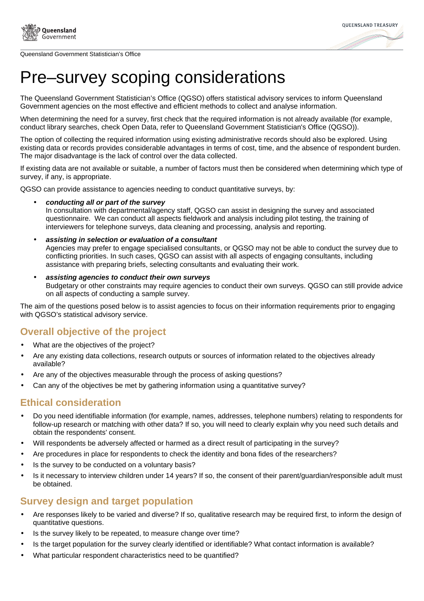

Queensland Government Statistician's Office



# Pre–survey scoping considerations

The Queensland Government Statistician's Office (QGSO) offers statistical advisory services to inform Queensland Government agencies on the most effective and efficient methods to collect and analyse information.

When determining the need for a survey, first check that the required information is not already available (for example, conduct library searches, check Open Data, refer to Queensland Government Statistician's Office (QGSO)).

The option of collecting the required information using existing administrative records should also be explored. Using existing data or records provides considerable advantages in terms of cost, time, and the absence of respondent burden. The major disadvantage is the lack of control over the data collected.

If existing data are not available or suitable, a number of factors must then be considered when determining which type of survey, if any, is appropriate.

QGSO can provide assistance to agencies needing to conduct quantitative surveys, by:

- **conducting all or part of the survey** In consultation with departmental/agency staff, QGSO can assist in designing the survey and associated questionnaire. We can conduct all aspects fieldwork and analysis including pilot testing, the training of interviewers for telephone surveys, data cleaning and processing, analysis and reporting.
- **assisting in selection or evaluation of a consultant** Agencies may prefer to engage specialised consultants, or QGSO may not be able to conduct the survey due to conflicting priorities. In such cases, QGSO can assist with all aspects of engaging consultants, including assistance with preparing briefs, selecting consultants and evaluating their work.
- **assisting agencies to conduct their own surveys** Budgetary or other constraints may require agencies to conduct their own surveys. QGSO can still provide advice on all aspects of conducting a sample survey.

The aim of the questions posed below is to assist agencies to focus on their information requirements prior to engaging with QGSO's statistical advisory service.

# **Overall objective of the project**

- What are the objectives of the project?
- Are any existing data collections, research outputs or sources of information related to the objectives already available?
- Are any of the objectives measurable through the process of asking questions?
- Can any of the objectives be met by gathering information using a quantitative survey?

#### **Ethical consideration**

- Do you need identifiable information (for example, names, addresses, telephone numbers) relating to respondents for follow-up research or matching with other data? If so, you will need to clearly explain why you need such details and obtain the respondents' consent.
- Will respondents be adversely affected or harmed as a direct result of participating in the survey?
- Are procedures in place for respondents to check the identity and bona fides of the researchers?
- Is the survey to be conducted on a voluntary basis?
- Is it necessary to interview children under 14 years? If so, the consent of their parent/guardian/responsible adult must be obtained.

# **Survey design and target population**

- Are responses likely to be varied and diverse? If so, qualitative research may be required first, to inform the design of quantitative questions.
- Is the survey likely to be repeated, to measure change over time?
- Is the target population for the survey clearly identified or identifiable? What contact information is available?
- What particular respondent characteristics need to be quantified?